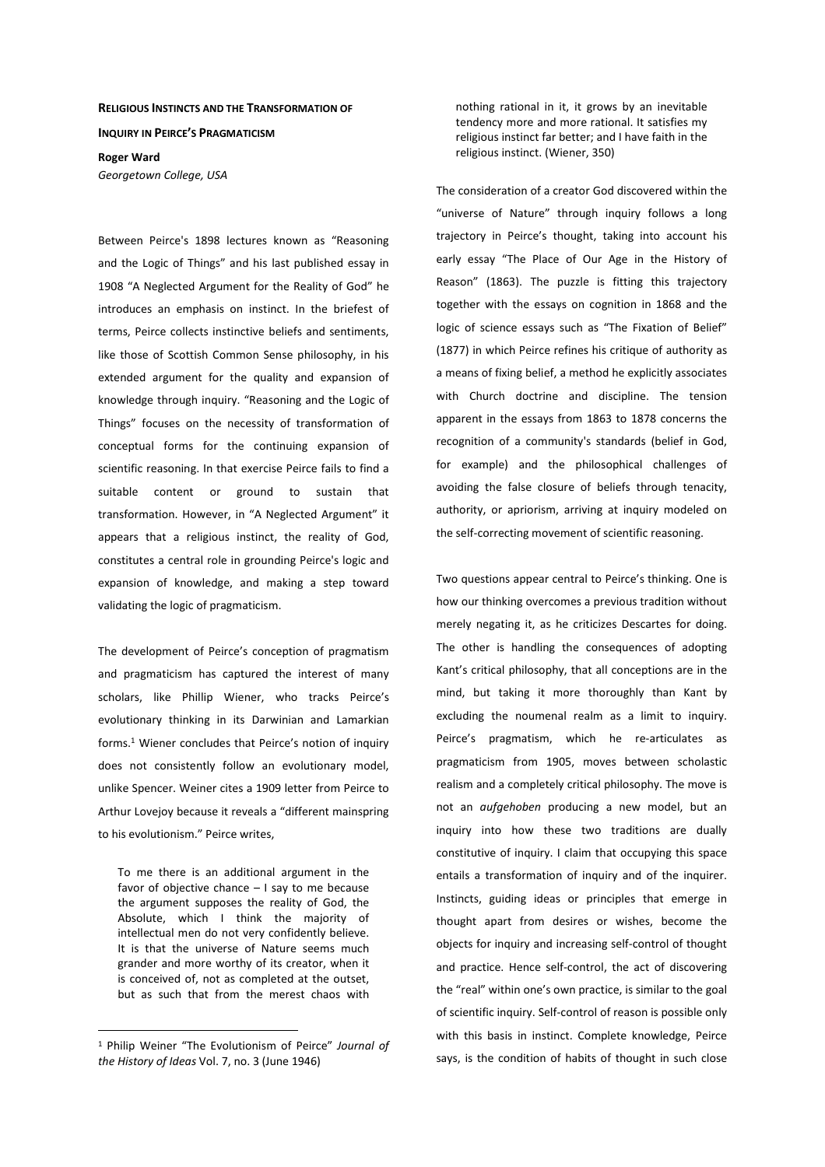## **RELIGIOUS INSTINCTS AND THE TRANSFORMATION OF**

**INQUIRY IN PEIRCE'S PRAGMATICISM**

**Roger Ward** 

*Georgetown College, USA* 

Between Peirce's 1898 lectures known as "Reasoning and the Logic of Things" and his last published essay in 1908 "A Neglected Argument for the Reality of God" he introduces an emphasis on instinct. In the briefest of terms, Peirce collects instinctive beliefs and sentiments, like those of Scottish Common Sense philosophy, in his extended argument for the quality and expansion of knowledge through inquiry. "Reasoning and the Logic of Things" focuses on the necessity of transformation of conceptual forms for the continuing expansion of scientific reasoning. In that exercise Peirce fails to find a suitable content or ground to sustain that transformation. However, in "A Neglected Argument" it appears that a religious instinct, the reality of God, constitutes a central role in grounding Peirce's logic and expansion of knowledge, and making a step toward validating the logic of pragmaticism.

The development of Peirce's conception of pragmatism and pragmaticism has captured the interest of many scholars, like Phillip Wiener, who tracks Peirce's evolutionary thinking in its Darwinian and Lamarkian forms.<sup>1</sup> Wiener concludes that Peirce's notion of inquiry does not consistently follow an evolutionary model, unlike Spencer. Weiner cites a 1909 letter from Peirce to Arthur Lovejoy because it reveals a "different mainspring to his evolutionism." Peirce writes,

To me there is an additional argument in the favor of objective chance – I say to me because the argument supposes the reality of God, the Absolute, which I think the majority of intellectual men do not very confidently believe. It is that the universe of Nature seems much grander and more worthy of its creator, when it is conceived of, not as completed at the outset, but as such that from the merest chaos with

 $\overline{a}$ 

nothing rational in it, it grows by an inevitable tendency more and more rational. It satisfies my religious instinct far better; and I have faith in the religious instinct. (Wiener, 350)

The consideration of a creator God discovered within the "universe of Nature" through inquiry follows a long trajectory in Peirce's thought, taking into account his early essay "The Place of Our Age in the History of Reason" (1863). The puzzle is fitting this trajectory together with the essays on cognition in 1868 and the logic of science essays such as "The Fixation of Belief" (1877) in which Peirce refines his critique of authority as a means of fixing belief, a method he explicitly associates with Church doctrine and discipline. The tension apparent in the essays from 1863 to 1878 concerns the recognition of a community's standards (belief in God, for example) and the philosophical challenges of avoiding the false closure of beliefs through tenacity, authority, or apriorism, arriving at inquiry modeled on the self-correcting movement of scientific reasoning.

Two questions appear central to Peirce's thinking. One is how our thinking overcomes a previous tradition without merely negating it, as he criticizes Descartes for doing. The other is handling the consequences of adopting Kant's critical philosophy, that all conceptions are in the mind, but taking it more thoroughly than Kant by excluding the noumenal realm as a limit to inquiry. Peirce's pragmatism, which he re-articulates as pragmaticism from 1905, moves between scholastic realism and a completely critical philosophy. The move is not an *aufgehoben* producing a new model, but an inquiry into how these two traditions are dually constitutive of inquiry. I claim that occupying this space entails a transformation of inquiry and of the inquirer. Instincts, guiding ideas or principles that emerge in thought apart from desires or wishes, become the objects for inquiry and increasing self-control of thought and practice. Hence self-control, the act of discovering the "real" within one's own practice, is similar to the goal of scientific inquiry. Self-control of reason is possible only with this basis in instinct. Complete knowledge, Peirce says, is the condition of habits of thought in such close

<sup>1</sup> Philip Weiner "The Evolutionism of Peirce" *Journal of the History of Ideas* Vol. 7, no. 3 (June 1946)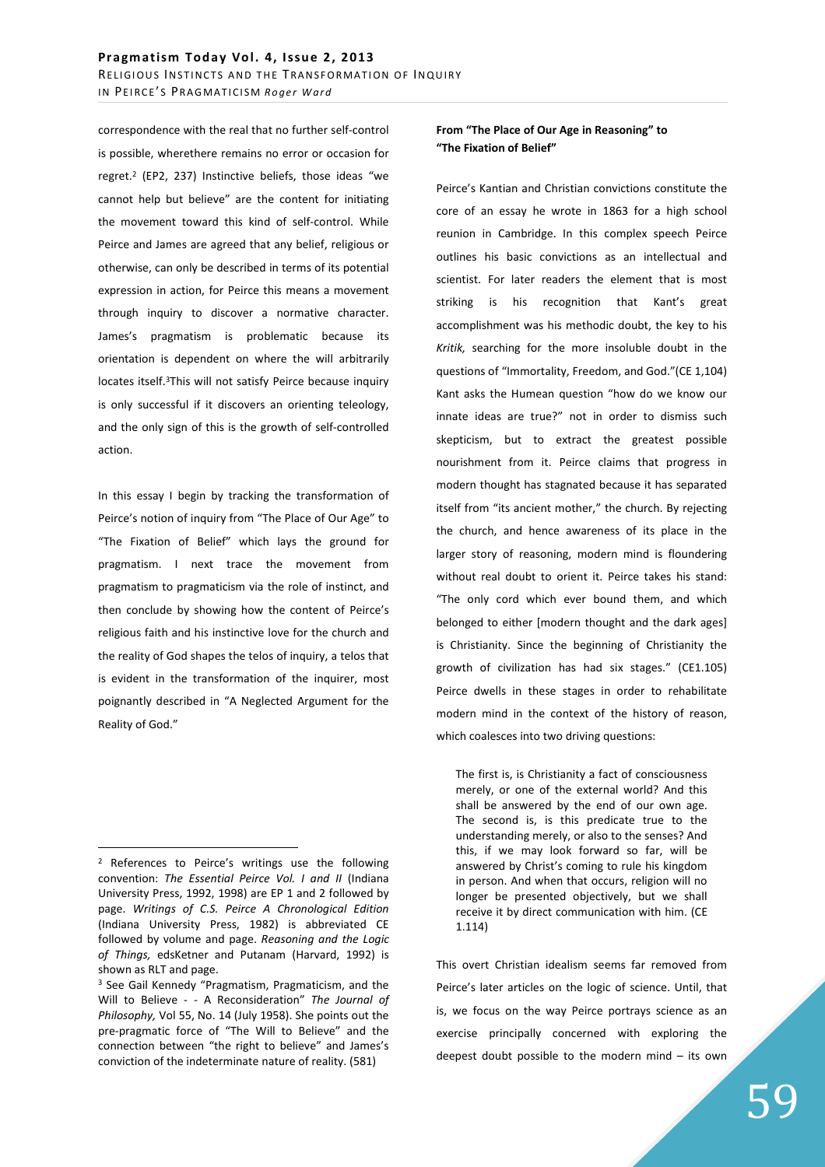correspondence with the real that no further self-control is possible, wherethere remains no error or occasion for regret.<sup>2</sup> (EP2, 237) Instinctive beliefs, those ideas "we cannot help but believe" are the content for initiating the movement toward this kind of self-control. While Peirce and James are agreed that any belief, religious or otherwise, can only be described in terms of its potential expression in action, for Peirce this means a movement through inquiry to discover a normative character. James's pragmatism is problematic because its orientation is dependent on where the will arbitrarily locates itself.<sup>3</sup>This will not satisfy Peirce because inquiry is only successful if it discovers an orienting teleology, and the only sign of this is the growth of self-controlled action.

In this essay I begin by tracking the transformation of Peirce's notion of inquiry from "The Place of Our Age" to "The Fixation of Belief" which lays the ground for pragmatism. I next trace the movement from pragmatism to pragmaticism via the role of instinct, and then conclude by showing how the content of Peirce's religious faith and his instinctive love for the church and the reality of God shapes the telos of inquiry, a telos that is evident in the transformation of the inquirer, most poignantly described in "A Neglected Argument for the Reality of God."

 $\overline{a}$ 

## **From "The Place of Our Age in Reasoning" to "The Fixation of Belief"**

Peirce's Kantian and Christian convictions constitute the core of an essay he wrote in 1863 for a high school reunion in Cambridge. In this complex speech Peirce outlines his basic convictions as an intellectual and scientist. For later readers the element that is most striking is his recognition that Kant's great accomplishment was his methodic doubt, the key to his *Kritik,* searching for the more insoluble doubt in the questions of "Immortality, Freedom, and God."(CE 1,104) Kant asks the Humean question "how do we know our innate ideas are true?" not in order to dismiss such skepticism, but to extract the greatest possible nourishment from it. Peirce claims that progress in modern thought has stagnated because it has separated itself from "its ancient mother," the church. By rejecting the church, and hence awareness of its place in the larger story of reasoning, modern mind is floundering without real doubt to orient it. Peirce takes his stand: "The only cord which ever bound them, and which belonged to either [modern thought and the dark ages] is Christianity. Since the beginning of Christianity the growth of civilization has had six stages." (CE1.105) Peirce dwells in these stages in order to rehabilitate modern mind in the context of the history of reason, which coalesces into two driving questions:

The first is, is Christianity a fact of consciousness merely, or one of the external world? And this shall be answered by the end of our own age. The second is, is this predicate true to the understanding merely, or also to the senses? And this, if we may look forward so far, will be answered by Christ's coming to rule his kingdom in person. And when that occurs, religion will no longer be presented objectively, but we shall receive it by direct communication with him. (CE 1.114)

This overt Christian idealism seems far removed from Peirce's later articles on the logic of science. Until, that is, we focus on the way Peirce portrays science as an exercise principally concerned with exploring the deepest doubt possible to the modern mind – its own

<sup>&</sup>lt;sup>2</sup> References to Peirce's writings use the following convention: *The Essential Peirce Vol. I and II* (Indiana University Press, 1992, 1998) are EP 1 and 2 followed by page. *Writings of C.S. Peirce A Chronological Edition*  (Indiana University Press, 1982) is abbreviated CE followed by volume and page. *Reasoning and the Logic of Things,* edsKetner and Putanam (Harvard, 1992) is shown as RLT and page.

<sup>&</sup>lt;sup>3</sup> See Gail Kennedy "Pragmatism, Pragmaticism, and the Will to Believe - - A Reconsideration" *The Journal of Philosophy,* Vol 55, No. 14 (July 1958). She points out the pre-pragmatic force of "The Will to Believe" and the connection between "the right to believe" and James's conviction of the indeterminate nature of reality. (581)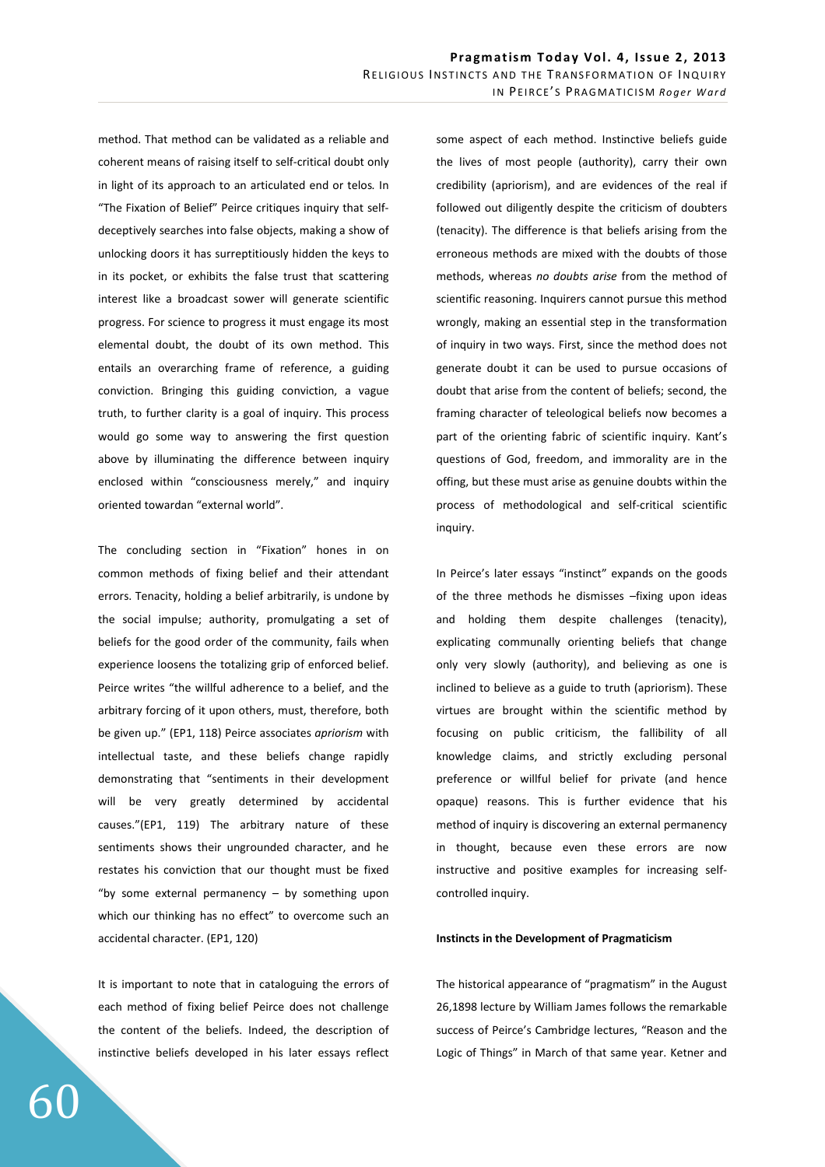method. That method can be validated as a reliable and coherent means of raising itself to self-critical doubt only in light of its approach to an articulated end or telos*.* In "The Fixation of Belief" Peirce critiques inquiry that selfdeceptively searches into false objects, making a show of unlocking doors it has surreptitiously hidden the keys to in its pocket, or exhibits the false trust that scattering interest like a broadcast sower will generate scientific progress. For science to progress it must engage its most elemental doubt, the doubt of its own method. This entails an overarching frame of reference, a guiding conviction. Bringing this guiding conviction, a vague truth, to further clarity is a goal of inquiry. This process would go some way to answering the first question above by illuminating the difference between inquiry enclosed within "consciousness merely," and inquiry oriented towardan "external world".

The concluding section in "Fixation" hones in on common methods of fixing belief and their attendant errors. Tenacity, holding a belief arbitrarily, is undone by the social impulse; authority, promulgating a set of beliefs for the good order of the community, fails when experience loosens the totalizing grip of enforced belief. Peirce writes "the willful adherence to a belief, and the arbitrary forcing of it upon others, must, therefore, both be given up." (EP1, 118) Peirce associates *apriorism* with intellectual taste, and these beliefs change rapidly demonstrating that "sentiments in their development will be very greatly determined by accidental causes."(EP1, 119) The arbitrary nature of these sentiments shows their ungrounded character, and he restates his conviction that our thought must be fixed "by some external permanency  $-$  by something upon which our thinking has no effect" to overcome such an accidental character. (EP1, 120)

It is important to note that in cataloguing the errors of each method of fixing belief Peirce does not challenge the content of the beliefs. Indeed, the description of instinctive beliefs developed in his later essays reflect some aspect of each method. Instinctive beliefs guide the lives of most people (authority), carry their own credibility (apriorism), and are evidences of the real if followed out diligently despite the criticism of doubters (tenacity). The difference is that beliefs arising from the erroneous methods are mixed with the doubts of those methods, whereas *no doubts arise* from the method of scientific reasoning. Inquirers cannot pursue this method wrongly, making an essential step in the transformation of inquiry in two ways. First, since the method does not generate doubt it can be used to pursue occasions of doubt that arise from the content of beliefs; second, the framing character of teleological beliefs now becomes a part of the orienting fabric of scientific inquiry. Kant's questions of God, freedom, and immorality are in the offing, but these must arise as genuine doubts within the process of methodological and self-critical scientific inquiry.

In Peirce's later essays "instinct" expands on the goods of the three methods he dismisses –fixing upon ideas and holding them despite challenges (tenacity), explicating communally orienting beliefs that change only very slowly (authority), and believing as one is inclined to believe as a guide to truth (apriorism). These virtues are brought within the scientific method by focusing on public criticism, the fallibility of all knowledge claims, and strictly excluding personal preference or willful belief for private (and hence opaque) reasons. This is further evidence that his method of inquiry is discovering an external permanency in thought, because even these errors are now instructive and positive examples for increasing selfcontrolled inquiry.

## **Instincts in the Development of Pragmaticism**

The historical appearance of "pragmatism" in the August 26,1898 lecture by William James follows the remarkable success of Peirce's Cambridge lectures, "Reason and the Logic of Things" in March of that same year. Ketner and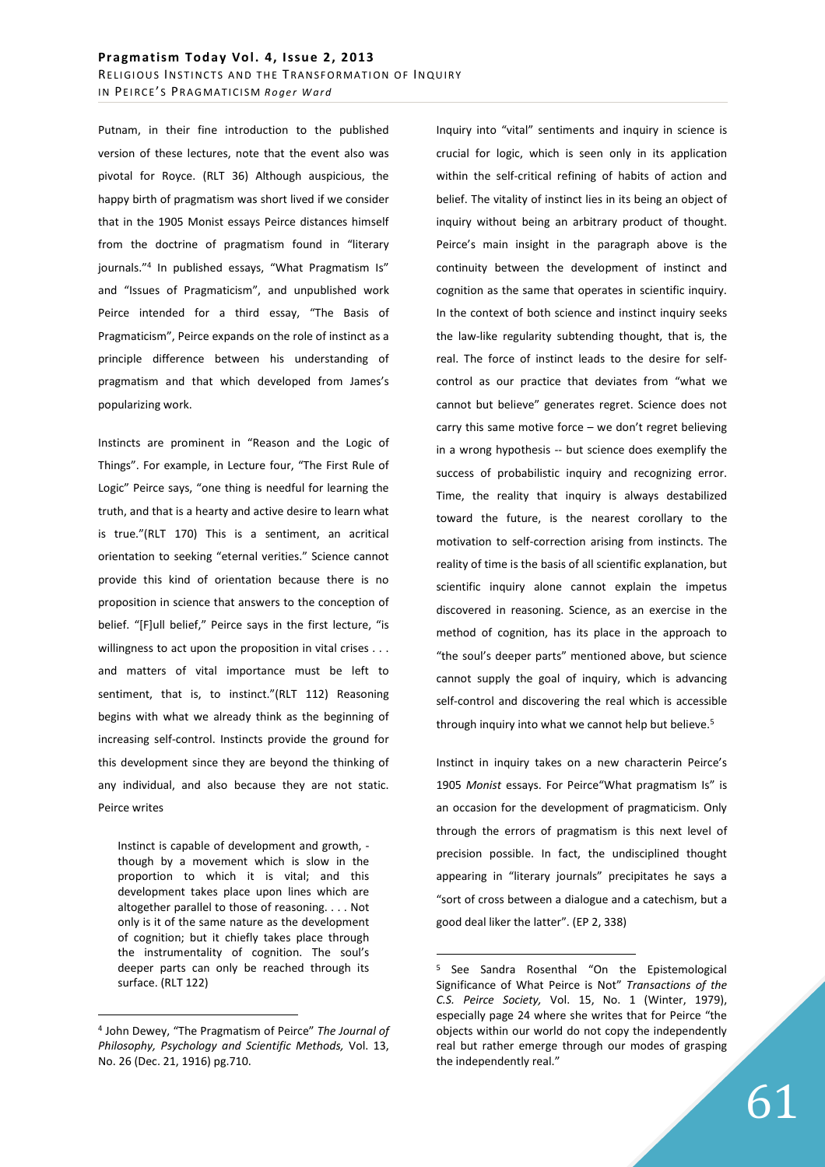Putnam, in their fine introduction to the published version of these lectures, note that the event also was pivotal for Royce. (RLT 36) Although auspicious, the happy birth of pragmatism was short lived if we consider that in the 1905 Monist essays Peirce distances himself from the doctrine of pragmatism found in "literary journals."<sup>4</sup> In published essays, "What Pragmatism Is" and "Issues of Pragmaticism", and unpublished work Peirce intended for a third essay, "The Basis of Pragmaticism", Peirce expands on the role of instinct as a principle difference between his understanding of pragmatism and that which developed from James's popularizing work.

Instincts are prominent in "Reason and the Logic of Things". For example, in Lecture four, "The First Rule of Logic" Peirce says, "one thing is needful for learning the truth, and that is a hearty and active desire to learn what is true."(RLT 170) This is a sentiment, an acritical orientation to seeking "eternal verities." Science cannot provide this kind of orientation because there is no proposition in science that answers to the conception of belief. "[F]ull belief," Peirce says in the first lecture, "is willingness to act upon the proposition in vital crises . . . and matters of vital importance must be left to sentiment, that is, to instinct."(RLT 112) Reasoning begins with what we already think as the beginning of increasing self-control. Instincts provide the ground for this development since they are beyond the thinking of any individual, and also because they are not static. Peirce writes

Instinct is capable of development and growth, though by a movement which is slow in the proportion to which it is vital; and this development takes place upon lines which are altogether parallel to those of reasoning. . . . Not only is it of the same nature as the development of cognition; but it chiefly takes place through the instrumentality of cognition. The soul's deeper parts can only be reached through its surface. (RLT 122)

 $\overline{a}$ 

Inquiry into "vital" sentiments and inquiry in science is crucial for logic, which is seen only in its application within the self-critical refining of habits of action and belief. The vitality of instinct lies in its being an object of inquiry without being an arbitrary product of thought. Peirce's main insight in the paragraph above is the continuity between the development of instinct and cognition as the same that operates in scientific inquiry. In the context of both science and instinct inquiry seeks the law-like regularity subtending thought, that is, the real. The force of instinct leads to the desire for selfcontrol as our practice that deviates from "what we cannot but believe" generates regret. Science does not carry this same motive force – we don't regret believing in a wrong hypothesis -- but science does exemplify the success of probabilistic inquiry and recognizing error. Time, the reality that inquiry is always destabilized toward the future, is the nearest corollary to the motivation to self-correction arising from instincts. The reality of time is the basis of all scientific explanation, but scientific inquiry alone cannot explain the impetus discovered in reasoning. Science, as an exercise in the method of cognition, has its place in the approach to "the soul's deeper parts" mentioned above, but science cannot supply the goal of inquiry, which is advancing self-control and discovering the real which is accessible through inquiry into what we cannot help but believe.<sup>5</sup>

Instinct in inquiry takes on a new characterin Peirce's 1905 *Monist* essays. For Peirce"What pragmatism Is" is an occasion for the development of pragmaticism. Only through the errors of pragmatism is this next level of precision possible. In fact, the undisciplined thought appearing in "literary journals" precipitates he says a "sort of cross between a dialogue and a catechism, but a good deal liker the latter". (EP 2, 338)

 $\overline{a}$ 

<sup>4</sup> John Dewey, "The Pragmatism of Peirce" *The Journal of Philosophy, Psychology and Scientific Methods,* Vol. 13, No. 26 (Dec. 21, 1916) pg.710.

<sup>5</sup> See Sandra Rosenthal "On the Epistemological Significance of What Peirce is Not" *Transactions of the C.S. Peirce Society,* Vol. 15, No. 1 (Winter, 1979), especially page 24 where she writes that for Peirce "the objects within our world do not copy the independently real but rather emerge through our modes of grasping the independently real."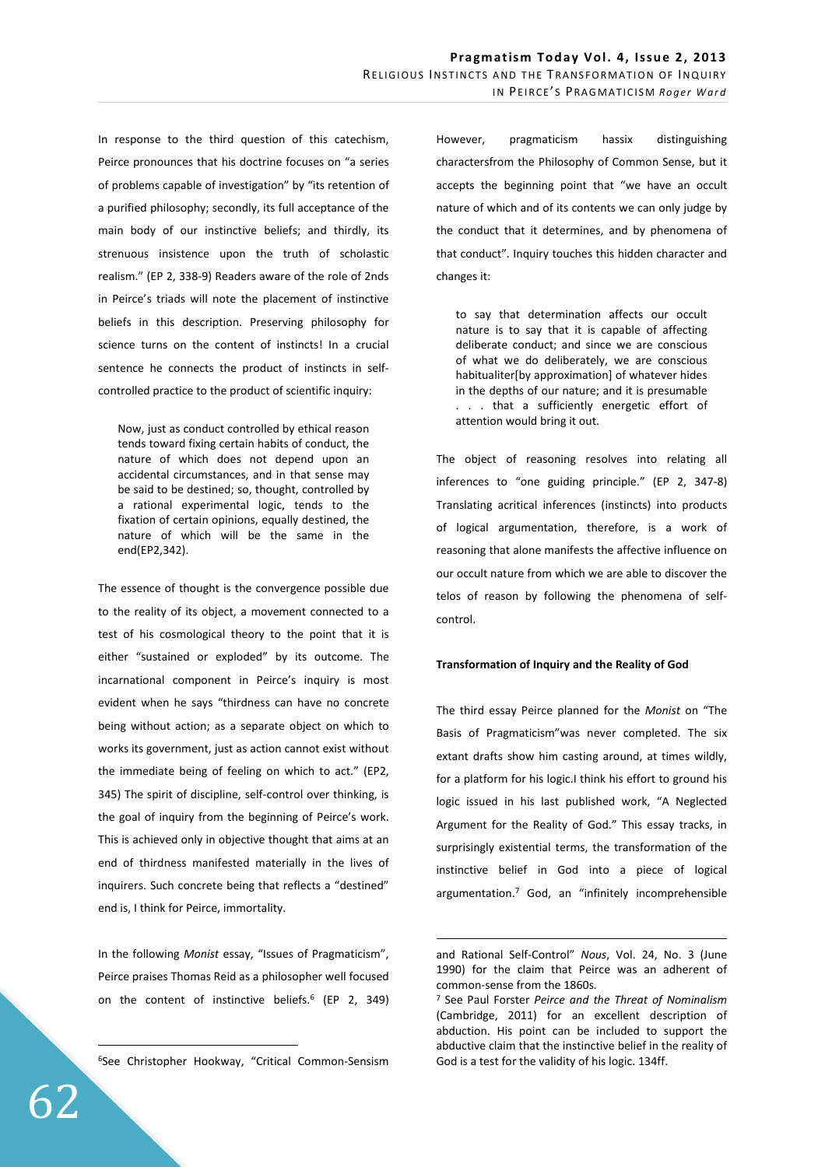In response to the third question of this catechism, Peirce pronounces that his doctrine focuses on "a series of problems capable of investigation" by "its retention of a purified philosophy; secondly, its full acceptance of the main body of our instinctive beliefs; and thirdly, its strenuous insistence upon the truth of scholastic realism." (EP 2, 338-9) Readers aware of the role of 2nds in Peirce's triads will note the placement of instinctive beliefs in this description. Preserving philosophy for science turns on the content of instincts! In a crucial sentence he connects the product of instincts in selfcontrolled practice to the product of scientific inquiry:

Now, just as conduct controlled by ethical reason tends toward fixing certain habits of conduct, the nature of which does not depend upon an accidental circumstances, and in that sense may be said to be destined; so, thought, controlled by a rational experimental logic, tends to the fixation of certain opinions, equally destined, the nature of which will be the same in the end(EP2,342).

The essence of thought is the convergence possible due to the reality of its object, a movement connected to a test of his cosmological theory to the point that it is either "sustained or exploded" by its outcome. The incarnational component in Peirce's inquiry is most evident when he says "thirdness can have no concrete being without action; as a separate object on which to works its government, just as action cannot exist without the immediate being of feeling on which to act." (EP2, 345) The spirit of discipline, self-control over thinking, is the goal of inquiry from the beginning of Peirce's work. This is achieved only in objective thought that aims at an end of thirdness manifested materially in the lives of inquirers. Such concrete being that reflects a "destined" end is, I think for Peirce, immortality.

In the following *Monist* essay, "Issues of Pragmaticism", Peirce praises Thomas Reid as a philosopher well focused on the content of instinctive beliefs.<sup>6</sup> (EP 2, 349)

<sup>6</sup>See Christopher Hookway, "Critical Common-Sensism

However, pragmaticism hassix distinguishing charactersfrom the Philosophy of Common Sense, but it accepts the beginning point that "we have an occult nature of which and of its contents we can only judge by the conduct that it determines, and by phenomena of that conduct". Inquiry touches this hidden character and changes it:

to say that determination affects our occult nature is to say that it is capable of affecting deliberate conduct; and since we are conscious of what we do deliberately, we are conscious habitualiter[by approximation] of whatever hides in the depths of our nature; and it is presumable . . . that a sufficiently energetic effort of attention would bring it out.

The object of reasoning resolves into relating all inferences to "one guiding principle." (EP 2, 347-8) Translating acritical inferences (instincts) into products of logical argumentation, therefore, is a work of reasoning that alone manifests the affective influence on our occult nature from which we are able to discover the telos of reason by following the phenomena of selfcontrol.

## **Transformation of Inquiry and the Reality of God**

The third essay Peirce planned for the *Monist* on "The Basis of Pragmaticism"was never completed. The six extant drafts show him casting around, at times wildly, for a platform for his logic.I think his effort to ground his logic issued in his last published work, "A Neglected Argument for the Reality of God." This essay tracks, in surprisingly existential terms, the transformation of the instinctive belief in God into a piece of logical argumentation.<sup>7</sup> God, an "infinitely incomprehensible

 $\overline{a}$ 

 $\overline{a}$ 

and Rational Self-Control" *Nous*, Vol. 24, No. 3 (June 1990) for the claim that Peirce was an adherent of common-sense from the 1860s.

<sup>7</sup> See Paul Forster *Peirce and the Threat of Nominalism*  (Cambridge, 2011) for an excellent description of abduction. His point can be included to support the abductive claim that the instinctive belief in the reality of God is a test for the validity of his logic. 134ff.